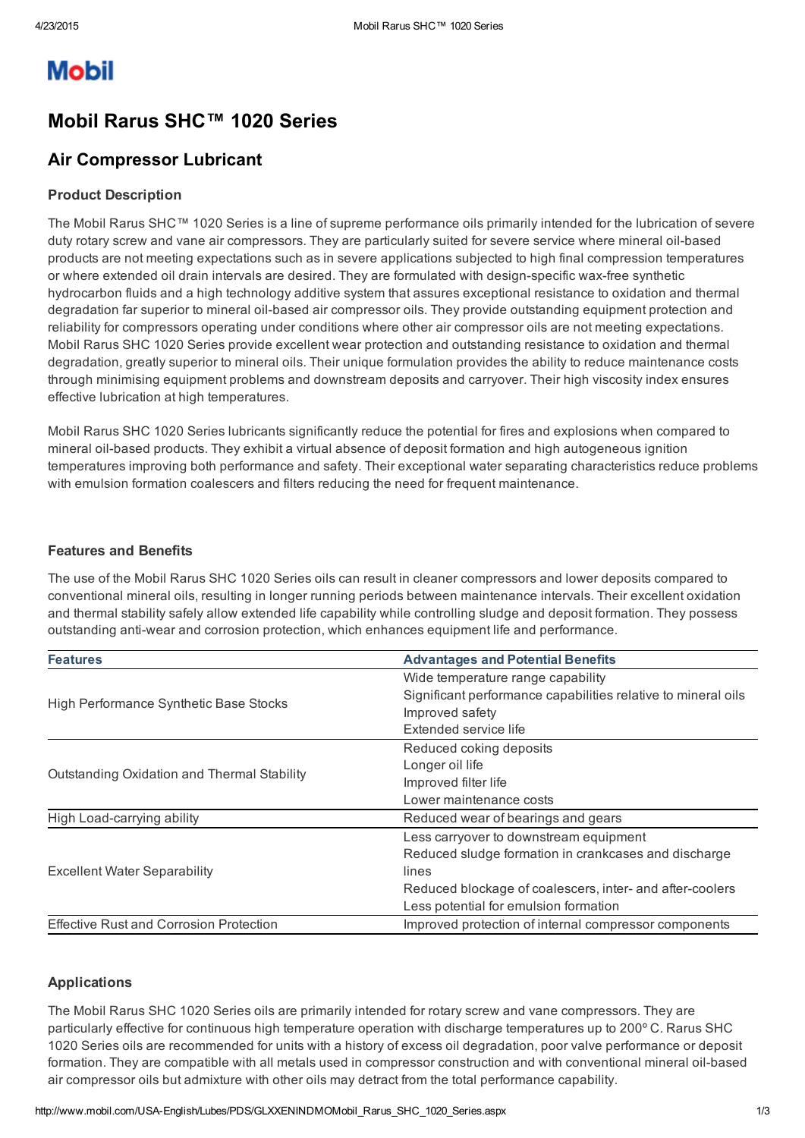# **Mobil**

## Mobil Rarus SHC™ 1020 Series

### Air Compressor Lubricant

#### Product Description

The Mobil Rarus SHC™ 1020 Series is a line of supreme performance oils primarily intended for the lubrication of severe duty rotary screw and vane air compressors. They are particularly suited for severe service where mineral oil-based products are not meeting expectations such as in severe applications subjected to high final compression temperatures or where extended oil drain intervals are desired. They are formulated with design-specific wax-free synthetic hydrocarbon fluids and a high technology additive system that assures exceptional resistance to oxidation and thermal degradation far superior to mineral oil-based air compressor oils. They provide outstanding equipment protection and reliability for compressors operating under conditions where other air compressor oils are not meeting expectations. Mobil Rarus SHC 1020 Series provide excellent wear protection and outstanding resistance to oxidation and thermal degradation, greatly superior to mineral oils. Their unique formulation provides the ability to reduce maintenance costs through minimising equipment problems and downstream deposits and carryover. Their high viscosity index ensures effective lubrication at high temperatures.

Mobil Rarus SHC 1020 Series lubricants significantly reduce the potential for fires and explosions when compared to mineral oil-based products. They exhibit a virtual absence of deposit formation and high autogeneous ignition temperatures improving both performance and safety. Their exceptional water separating characteristics reduce problems with emulsion formation coalescers and filters reducing the need for frequent maintenance.

#### Features and Benefits

The use of the Mobil Rarus SHC 1020 Series oils can result in cleaner compressors and lower deposits compared to conventional mineral oils, resulting in longer running periods between maintenance intervals. Their excellent oxidation and thermal stability safely allow extended life capability while controlling sludge and deposit formation. They possess outstanding anti-wear and corrosion protection, which enhances equipment life and performance.

| <b>Features</b>                                | <b>Advantages and Potential Benefits</b>                      |  |  |
|------------------------------------------------|---------------------------------------------------------------|--|--|
|                                                | Wide temperature range capability                             |  |  |
| High Performance Synthetic Base Stocks         | Significant performance capabilities relative to mineral oils |  |  |
|                                                | Improved safety                                               |  |  |
|                                                | Extended service life                                         |  |  |
| Outstanding Oxidation and Thermal Stability    | Reduced coking deposits                                       |  |  |
|                                                | Longer oil life                                               |  |  |
|                                                | Improved filter life                                          |  |  |
|                                                | Lower maintenance costs                                       |  |  |
| High Load-carrying ability                     | Reduced wear of bearings and gears                            |  |  |
|                                                | Less carryover to downstream equipment                        |  |  |
| <b>Excellent Water Separability</b>            | Reduced sludge formation in crankcases and discharge          |  |  |
|                                                | lines                                                         |  |  |
|                                                | Reduced blockage of coalescers, inter- and after-coolers      |  |  |
|                                                | Less potential for emulsion formation                         |  |  |
| <b>Effective Rust and Corrosion Protection</b> | Improved protection of internal compressor components         |  |  |

#### Applications

The Mobil Rarus SHC 1020 Series oils are primarily intended for rotary screw and vane compressors. They are particularly effective for continuous high temperature operation with discharge temperatures up to 200º C. Rarus SHC 1020 Series oils are recommended for units with a history of excess oil degradation, poor valve performance or deposit formation. They are compatible with all metals used in compressor construction and with conventional mineral oil-based air compressor oils but admixture with other oils may detract from the total performance capability.